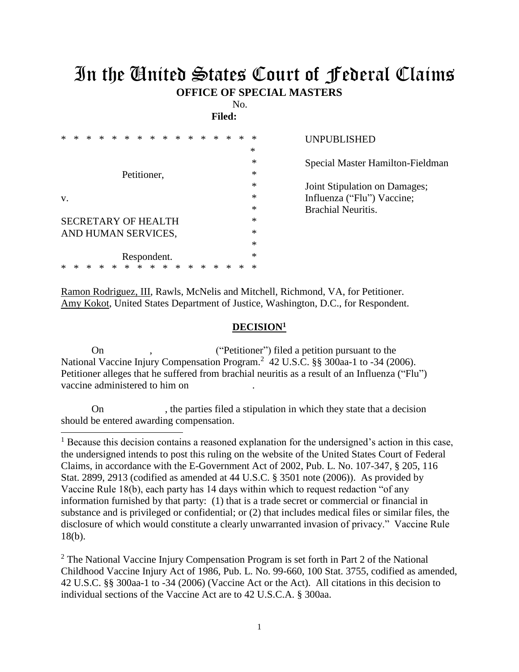## In the United States Court of Federal Claims **OFFICE OF SPECIAL MASTERS**

No.

**Filed:** 

| ×  |                                      |  |  |   | * | *           |   | * | * | $\ast$ | * | ж | * | * | ∗      | UNPUBLISHED                      |
|----|--------------------------------------|--|--|---|---|-------------|---|---|---|--------|---|---|---|---|--------|----------------------------------|
|    |                                      |  |  |   |   |             |   |   |   |        |   |   |   |   | ∗      |                                  |
|    |                                      |  |  |   |   |             |   |   |   |        |   |   |   |   | ∗      | Special Master Hamilton-Fieldman |
|    | Petitioner,                          |  |  |   |   |             |   |   |   |        |   |   |   |   | *      |                                  |
|    |                                      |  |  |   |   |             |   |   |   |        |   |   |   |   | $\ast$ | Joint Stipulation on Damages;    |
| V. |                                      |  |  |   |   |             |   |   |   |        |   |   |   |   | *      | Influenza ("Flu") Vaccine;       |
|    |                                      |  |  |   |   |             |   |   |   |        |   |   |   |   | $\ast$ | <b>Brachial Neuritis.</b>        |
|    | $\ast$<br><b>SECRETARY OF HEALTH</b> |  |  |   |   |             |   |   |   |        |   |   |   |   |        |                                  |
|    | AND HUMAN SERVICES,                  |  |  |   |   |             |   |   |   |        |   |   |   |   | $\ast$ |                                  |
|    |                                      |  |  |   |   |             |   |   |   |        |   |   |   |   | $\ast$ |                                  |
|    |                                      |  |  |   |   | Respondent. |   |   |   |        |   |   |   |   | $\ast$ |                                  |
|    |                                      |  |  | ∗ | * | *           | * | ∗ | ∗ | ∗      | ∗ |   |   |   | $\ast$ |                                  |

Ramon Rodriguez, III, Rawls, McNelis and Mitchell, Richmond, VA, for Petitioner. Amy Kokot, United States Department of Justice, Washington, D.C., for Respondent.

## **DECISION<sup>1</sup>**

On , ("Petitioner") filed a petition pursuant to the National Vaccine Injury Compensation Program.<sup>2</sup> 42 U.S.C. §§ 300aa-1 to -34 (2006). Petitioner alleges that he suffered from brachial neuritis as a result of an Influenza ("Flu") vaccine administered to him on .

On , the parties filed a stipulation in which they state that a decision should be entered awarding compensation.

 $\overline{a}$ 

<sup>2</sup> The National Vaccine Injury Compensation Program is set forth in Part 2 of the National Childhood Vaccine Injury Act of 1986, Pub. L. No. 99-660, 100 Stat. 3755, codified as amended, 42 U.S.C. §§ 300aa-1 to -34 (2006) (Vaccine Act or the Act). All citations in this decision to individual sections of the Vaccine Act are to 42 U.S.C.A. § 300aa.

<sup>&</sup>lt;sup>1</sup> Because this decision contains a reasoned explanation for the undersigned's action in this case, the undersigned intends to post this ruling on the website of the United States Court of Federal Claims, in accordance with the E-Government Act of 2002, Pub. L. No. 107-347, § 205, 116 Stat. 2899, 2913 (codified as amended at 44 U.S.C. § 3501 note (2006)). As provided by Vaccine Rule 18(b), each party has 14 days within which to request redaction "of any information furnished by that party: (1) that is a trade secret or commercial or financial in substance and is privileged or confidential; or (2) that includes medical files or similar files, the disclosure of which would constitute a clearly unwarranted invasion of privacy." Vaccine Rule 18(b).